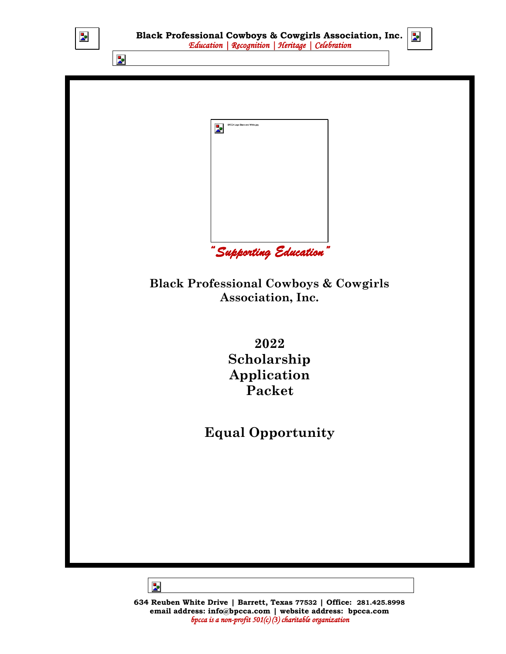

**634 Reuben White Drive | Barrett, Texas 77532 | Office: 281.425.8998 email address: [info@bpcca.com](mailto:info@bpcca.com) | website address: bpcca.com** *bpcca is a non-profit 501(c) (3) charitable organization*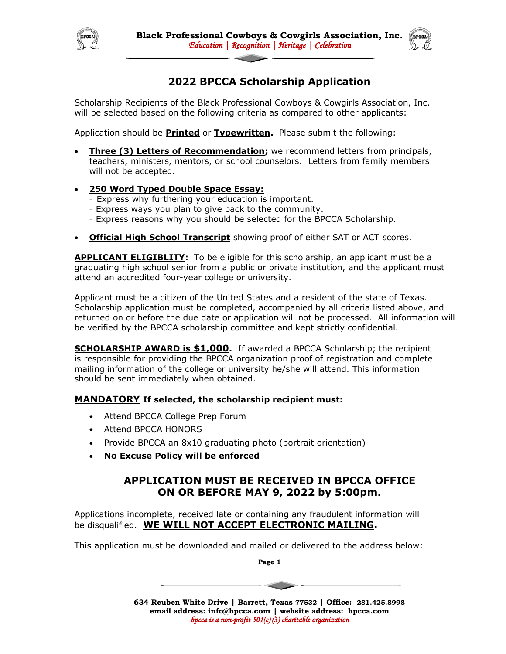



## **2022 BPCCA Scholarship Application**

Scholarship Recipients of the Black Professional Cowboys & Cowgirls Association, Inc. will be selected based on the following criteria as compared to other applicants:

Application should be **Printed** or **Typewritten.** Please submit the following:

- **Three (3) Letters of Recommendation;** we recommend letters from principals, teachers, ministers, mentors, or school counselors. Letters from family members will not be accepted.
- **250 Word Typed Double Space Essay:**
	- Express why furthering your education is important.
	- Express ways you plan to give back to the community.
	- Express reasons why you should be selected for the BPCCA Scholarship.
- **Official High School Transcript** showing proof of either SAT or ACT scores.

**APPLICANT ELIGIBLITY:** To be eligible for this scholarship, an applicant must be a graduating high school senior from a public or private institution, and the applicant must attend an accredited four-year college or university.

Applicant must be a citizen of the United States and a resident of the state of Texas. Scholarship application must be completed, accompanied by all criteria listed above, and returned on or before the due date or application will not be processed. All information will be verified by the BPCCA scholarship committee and kept strictly confidential.

**SCHOLARSHIP AWARD is \$1,000.** If awarded a BPCCA Scholarship; the recipient is responsible for providing the BPCCA organization proof of registration and complete mailing information of the college or university he/she will attend. This information should be sent immediately when obtained.

### **MANDATORY If selected, the scholarship recipient must:**

- Attend BPCCA College Prep Forum
- Attend BPCCA HONORS
- Provide BPCCA an 8x10 graduating photo (portrait orientation)
- **No Excuse Policy will be enforced**

### **APPLICATION MUST BE RECEIVED IN BPCCA OFFICE ON OR BEFORE MAY 9, 2022 by 5:00pm.**

Applications incomplete, received late or containing any fraudulent information will be disqualified. **WE WILL NOT ACCEPT ELECTRONIC MAILING.**

This application must be downloaded and mailed or delivered to the address below:

**Page 1**

**634 Reuben White Drive | Barrett, Texas 77532 | Office: 281.425.8998 email address: [info@bpcca.com](mailto:info@bpcca.com) | website address: bpcca.com** *bpcca is a non-profit 501(c) (3) charitable organization* 

 $\sim$   $\sim$   $\sim$   $\sim$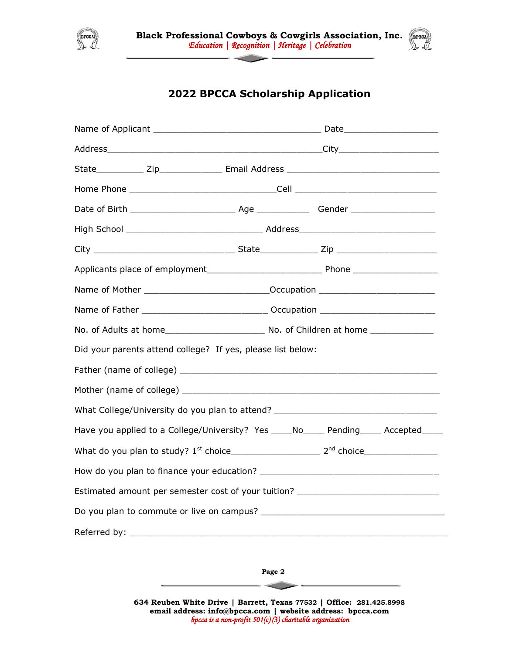



# **2022 BPCCA Scholarship Application**

| Name of Mother _________________________________Occupation _____________________       |  |  |  |  |  |  |
|----------------------------------------------------------------------------------------|--|--|--|--|--|--|
|                                                                                        |  |  |  |  |  |  |
|                                                                                        |  |  |  |  |  |  |
| Did your parents attend college? If yes, please list below:                            |  |  |  |  |  |  |
|                                                                                        |  |  |  |  |  |  |
|                                                                                        |  |  |  |  |  |  |
| What College/University do you plan to attend? _________________________________       |  |  |  |  |  |  |
| Have you applied to a College/University? Yes _____ No_____ Pending_____ Accepted_____ |  |  |  |  |  |  |
|                                                                                        |  |  |  |  |  |  |
|                                                                                        |  |  |  |  |  |  |
| Estimated amount per semester cost of your tuition? ____________________________       |  |  |  |  |  |  |
|                                                                                        |  |  |  |  |  |  |
|                                                                                        |  |  |  |  |  |  |
|                                                                                        |  |  |  |  |  |  |

**Page 2**

 $\sim$ 

**634 Reuben White Drive | Barrett, Texas 77532 | Office: 281.425.8998 email address: [info@bpcca.com](mailto:info@bpcca.com) | website address: bpcca.com** *bpcca is a non-profit 501(c) (3) charitable organization*